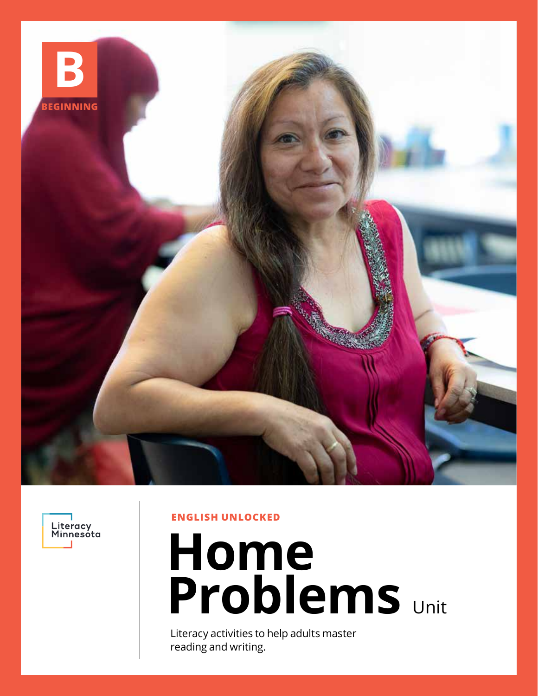



**ENGLISH UNLOCKED**

# **Home Problems** Unit

Literacy activities to help adults master reading and writing.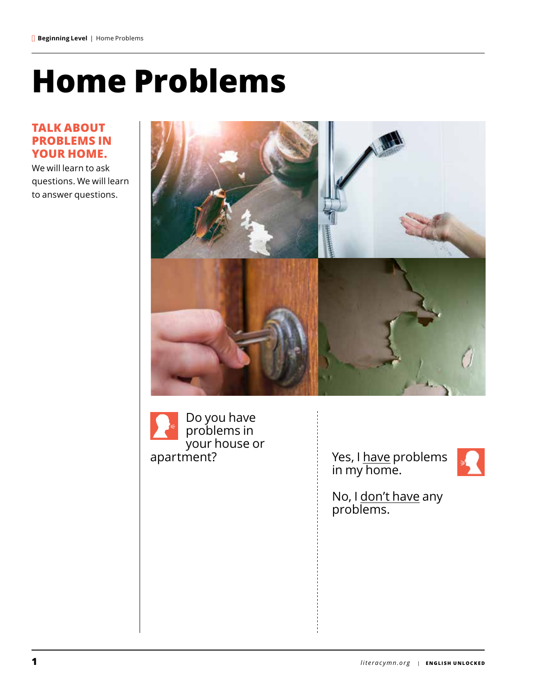## **Home Problems**

#### **TALK ABOUT PROBLEMS IN YOUR HOME.**

We will learn to ask questions. We will learn to answer questions.



Do you have problems in your house or<br>apartment?

apartment? The Massem of the Yes, I have problems in my home.



No, I <u>don't have</u> any problems.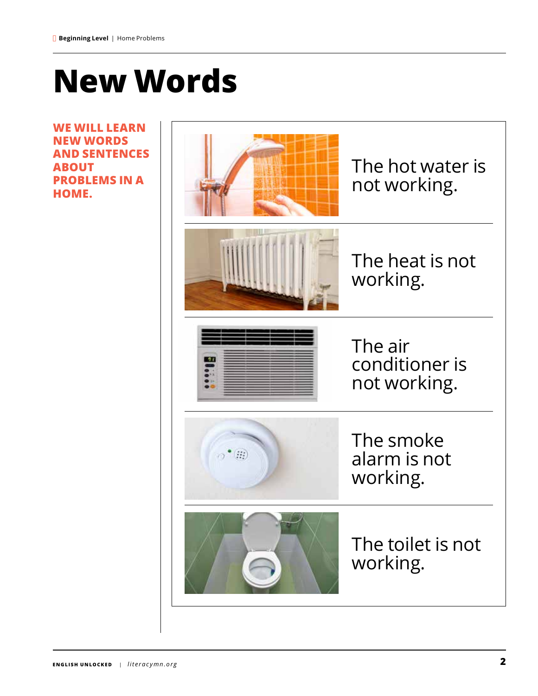### **New Words**

**WE WILL LEARN NEW WORDS AND SENTENCES ABOUT PROBLEMS IN A HOME.**

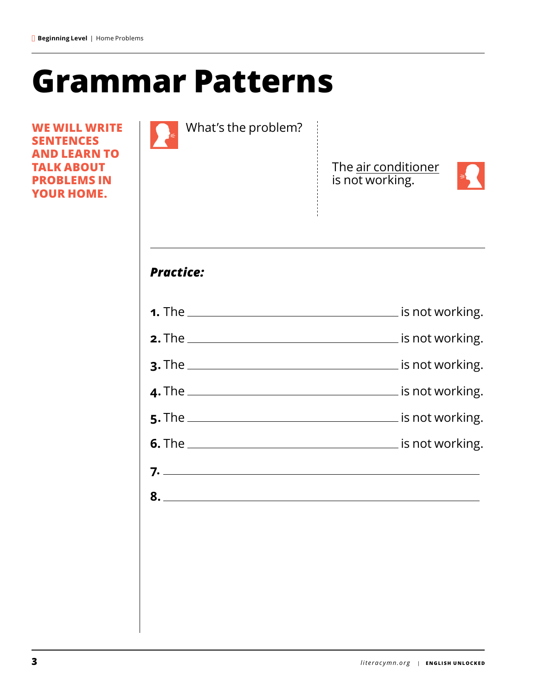### **Grammar Patterns**

**WE WILL WRITE SENTENCES AND LEARN TO TALK ABOUT PROBLEMS IN YOUR HOME.**

| What's the problem? |                                        |
|---------------------|----------------------------------------|
|                     | The air conditioner<br>is not working. |
| <b>Practice:</b>    |                                        |
|                     |                                        |
|                     |                                        |
|                     |                                        |
|                     |                                        |
|                     |                                        |
|                     |                                        |
|                     |                                        |
|                     |                                        |

 $\overline{\phantom{a}}$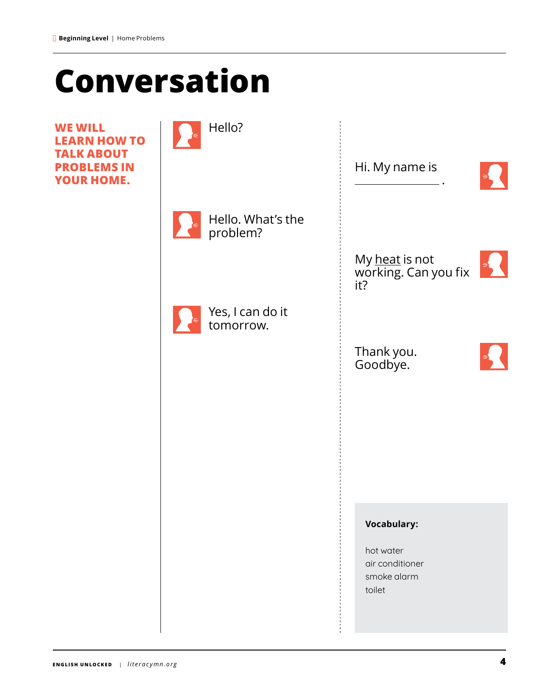### **Conversation**

**WE WILL LEARN HOW TO TALK ABOUT PROBLEMS IN YOUR HOME.**

| Hello?                        | Hi. My name is                                        |
|-------------------------------|-------------------------------------------------------|
| Hello. What's the<br>problem? |                                                       |
|                               | My heat is not<br>working. Can you fix<br>it?         |
| Yes, I can do it<br>tomorrow. | Thank you.                                            |
|                               | Goodbye.                                              |
|                               |                                                       |
|                               | <b>Vocabulary:</b>                                    |
|                               | hot water<br>air conditioner<br>smoke alarm<br>toilet |
|                               |                                                       |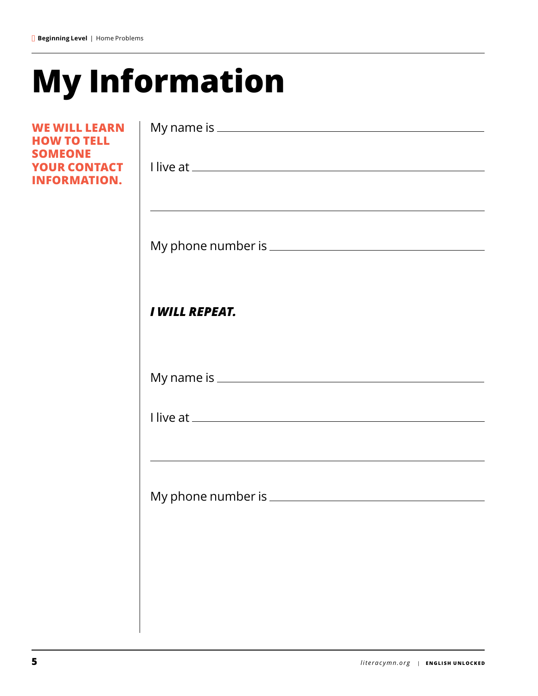## **My Information**

| <b>WE WILL LEARN</b><br><b>HOW TO TELL</b>            |                                                                                                                  |
|-------------------------------------------------------|------------------------------------------------------------------------------------------------------------------|
| <b>SOMEONE</b><br>YOUR CONTACT<br><b>INFORMATION.</b> |                                                                                                                  |
|                                                       | <u> 1989 - Johann Stoff, amerikansk politiker (d. 1989)</u>                                                      |
|                                                       | <b>I WILL REPEAT.</b>                                                                                            |
|                                                       |                                                                                                                  |
|                                                       |                                                                                                                  |
|                                                       | and the control of the control of the control of the control of the control of the control of the control of the |
|                                                       |                                                                                                                  |
|                                                       |                                                                                                                  |
|                                                       |                                                                                                                  |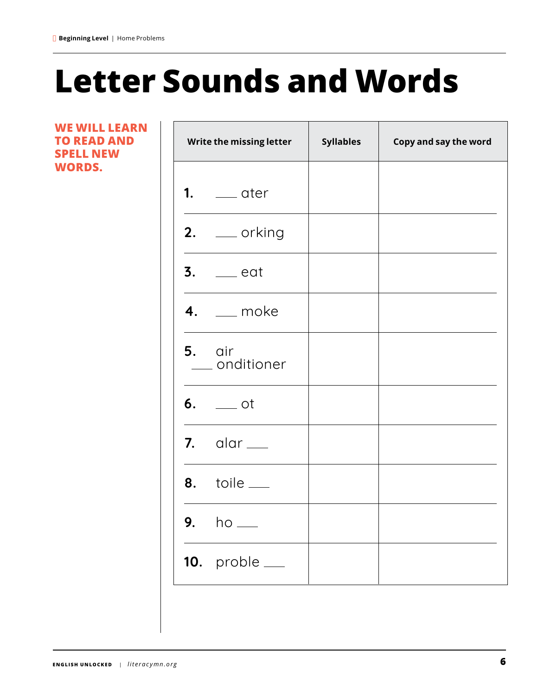## **Letter Sounds and Words**

т

т

#### **WE WILL LEARN TO READ AND SPELL NEW WORDS.**

 $\Gamma$ 

| Write the missing letter              | <b>Syllables</b> | Copy and say the word |
|---------------------------------------|------------------|-----------------------|
| 1. $\equiv$ ater                      |                  |                       |
| $2.$ ___ orking                       |                  |                       |
| $3.$ $\rule{0.1em}{0.15mm}$ eat       |                  |                       |
| $4.$ _ moke                           |                  |                       |
| $5.$ $air$<br>_ onditioner            |                  |                       |
| $6.$ $\qquad$ ot                      |                  |                       |
| $7.$ alar $\_\_$                      |                  |                       |
| <b>8.</b> toile <u>__</u>             |                  |                       |
| <b>9.</b> ho $\_\_$                   |                  |                       |
| 10. $probe$ <sub><math>-</math></sub> |                  |                       |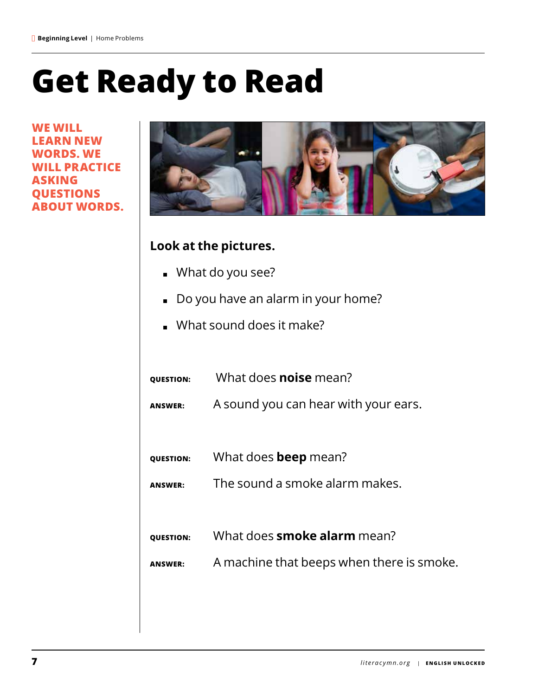### **Get Ready to Read**

**WE WILL LEARN NEW WORDS. WE LL PRACTICE ASKING QUESTIONS ABOUT WORDS.**



#### **Look at the pictures.**

- What do you see?
- Do you have an alarm in your home?
- What sound does it make?
- **QUESTION:** What does **noise** mean? **ANSWER:** A sound you can hear with your ears. **QUESTION:** What does **beep** mean? **ANSWER:** The sound a smoke alarm makes. **QUESTION:** What does **smoke alarm** mean? **ANSWER:** A machine that beeps when there is smoke.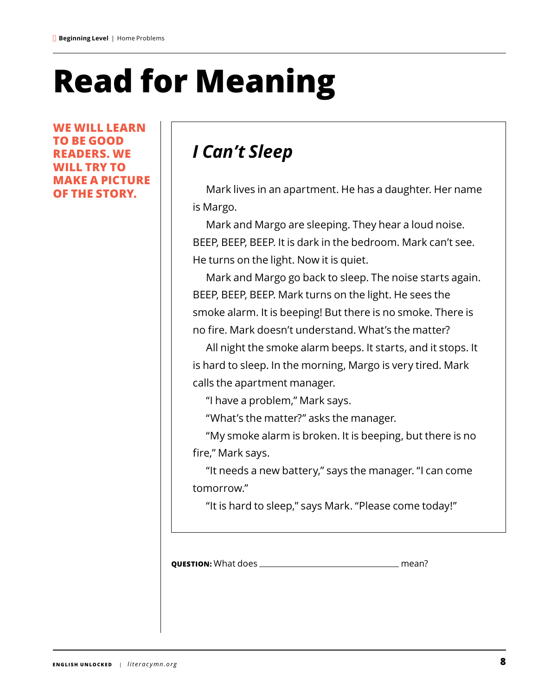## **Read for Meaning**

**WE WILL LEARN TO BE GOOD READERS. WE WILL TRY TO MAKE A PICTURE OF THE STORY.**

### *I Can't Sleep*

Mark lives in an apartment. He has a daughter. Her name is Margo.

Mark and Margo are sleeping. They hear a loud noise. BEEP, BEEP, BEEP. It is dark in the bedroom. Mark can't see. He turns on the light. Now it is quiet.

Mark and Margo go back to sleep. The noise starts again. BEEP, BEEP, BEEP. Mark turns on the light. He sees the smoke alarm. It is beeping! But there is no smoke. There is no fire. Mark doesn't understand. What's the matter?

All night the smoke alarm beeps. It starts, and it stops. It is hard to sleep. In the morning, Margo is very tired. Mark calls the apartment manager.

"I have a problem," Mark says.

"What's the matter?" asks the manager.

"My smoke alarm is broken. It is beeping, but there is no fire," Mark says.

"It needs a new battery," says the manager. "I can come tomorrow."

"It is hard to sleep," says Mark. "Please come today!"

**QUESTION:** What does mean?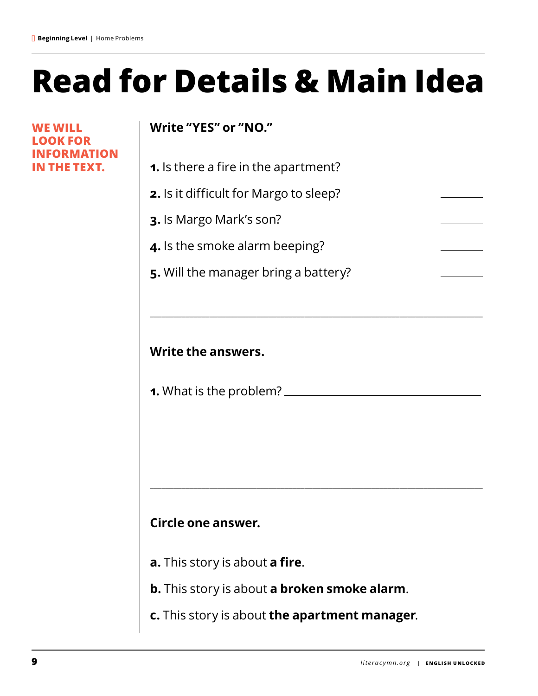## **Read for Details & Main Idea**

**WE WILL LOOK FOR INFORMATION IN THE TEXT.**

### **Write "YES" or "NO."**

| <b>1.</b> Is there a fire in the apartment?   |  |
|-----------------------------------------------|--|
| <b>2.</b> Is it difficult for Margo to sleep? |  |
| <b>3.</b> Is Margo Mark's son?                |  |
| 4. Is the smoke alarm beeping?                |  |

\_\_\_\_\_\_\_\_\_\_\_\_\_\_\_\_\_\_\_\_\_\_\_\_\_\_\_\_\_\_\_\_\_\_\_\_\_\_\_\_\_\_\_\_\_\_\_\_\_\_\_\_\_\_\_\_\_\_\_\_\_\_\_\_\_\_\_\_\_\_\_\_\_\_\_\_\_\_\_\_\_\_\_\_

\_\_\_\_\_\_\_\_\_\_\_\_\_\_\_\_\_\_\_\_\_\_\_\_\_\_\_\_\_\_\_\_\_\_\_\_\_\_\_\_\_\_\_\_\_\_\_\_\_\_\_\_\_\_\_\_\_\_\_\_\_\_\_\_\_\_\_\_\_\_\_\_\_\_\_\_\_\_\_\_\_\_\_\_

**5.** Will the manager bring a battery?

### **Write the answers.**

**1.** What is the problem?

### **Circle one answer.**

- **a.** This story is about **a fire**.
- **b.** This story is about **a broken smoke alarm**.
- **c.** This story is about **the apartment manager**.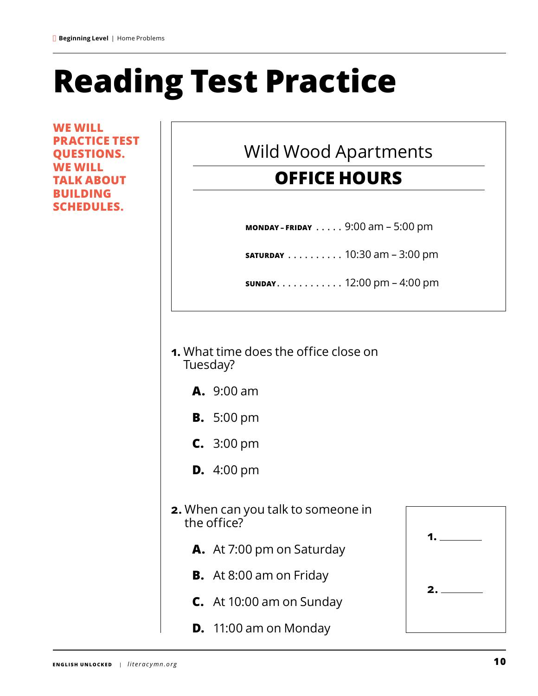## **Reading Test Practice**

**WE WILL PRACTICE TEST QUESTIONS. WE WILL TALK ABOUT BUILDING SCHEDULES.**

### Wild Wood Apartments

### **OFFICE HOURS**

**MONDAY - FRIDAY** . . . . . 9:00 am - 5:00 pm

**SATURDAY** . . . . . . . . . . 10:30 am - 3:00 pm

**SUNDAY**. . 12:00 pm – 4:00 pm

- **1.** What time does the office close on Tuesday?
	- **A.** 9:00 am
	- **B.** 5:00 pm
	- **C.** 3:00 pm
	- **D.** 4:00 pm
- **2.** When can you talk to someone in the office?
	- **A.** At 7:00 pm on Saturday
	- **B.** At 8:00 am on Friday
	- **C.** At 10:00 am on Sunday
	- **D.** 11:00 am on Monday

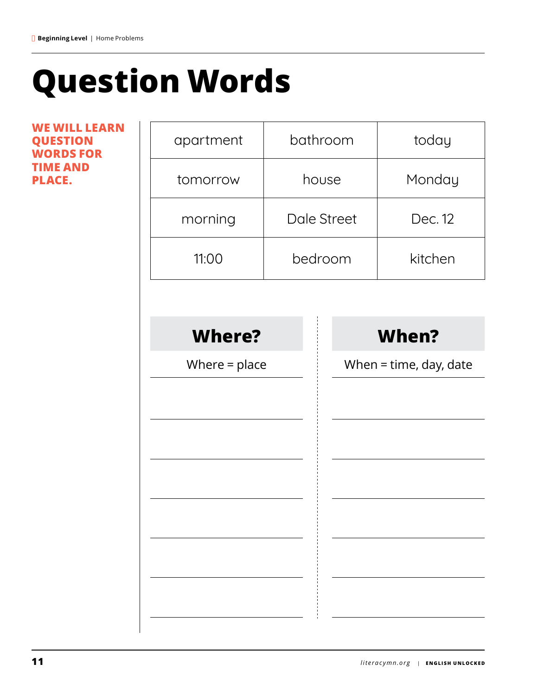## **Question Words**

**WE WILL LEARN QUESTION WORDS FOR TIME AND PLACE.**

| apartment       | bathroom    |  | today                    |
|-----------------|-------------|--|--------------------------|
| tomorrow        | house       |  | Monday                   |
| morning         | Dale Street |  | Dec. 12                  |
| 11:00           | bedroom     |  | kitchen                  |
|                 |             |  |                          |
| <b>Where?</b>   |             |  | <b>When?</b>             |
| Where $=$ place |             |  | When $=$ time, day, date |
|                 |             |  |                          |
|                 |             |  |                          |
|                 |             |  |                          |
|                 |             |  |                          |
|                 |             |  |                          |
|                 |             |  |                          |
|                 |             |  |                          |
|                 |             |  |                          |
|                 |             |  |                          |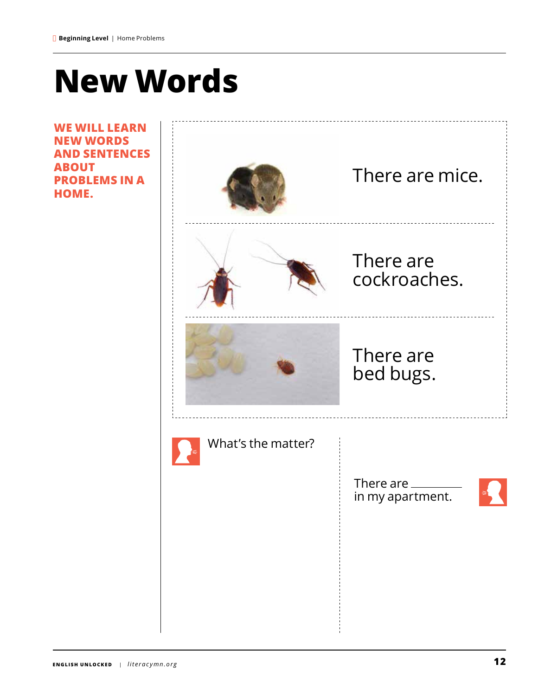### **New Words**

**WE WILL LEARN NEW WORDS AND SENTENCES ABOUT PROBLEMS IN A HOME.**

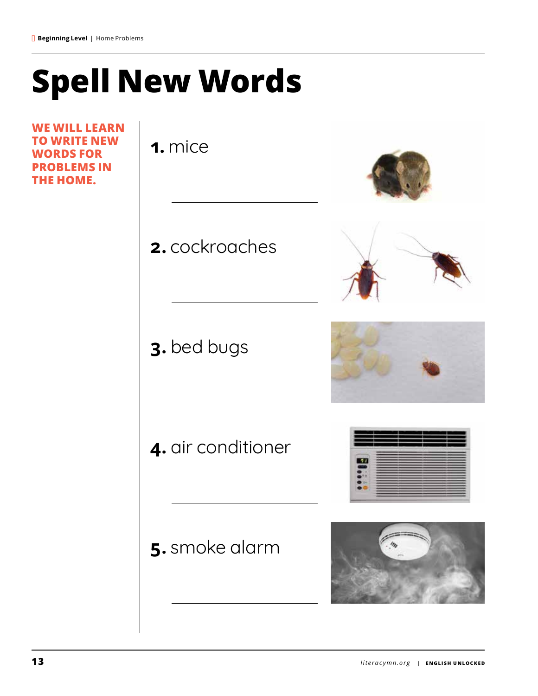## **Spell New Words**

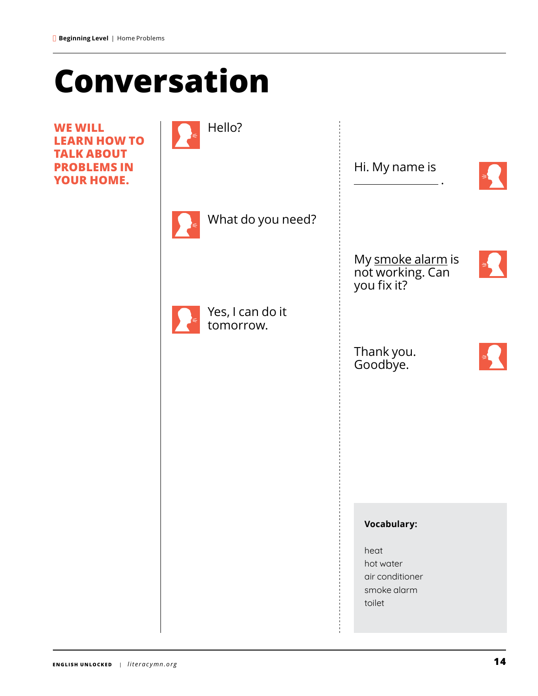### **Conversation**

**WE WILL LEARN HOW TO TALK ABOUT PROBLEMS IN YOUR HOME.**

| Hello?                        |                                                      |  |
|-------------------------------|------------------------------------------------------|--|
|                               | Hi. My name is                                       |  |
| What do you need?             |                                                      |  |
|                               | My smoke alarm is<br>not working. Can<br>you fix it? |  |
| Yes, I can do it<br>tomorrow. |                                                      |  |
|                               | Thank you.<br>Goodbye.                               |  |
|                               |                                                      |  |
|                               |                                                      |  |
|                               |                                                      |  |
|                               | <b>Vocabulary:</b>                                   |  |
|                               | heat<br>hot water<br>air conditioner<br>smoke alarm  |  |
|                               | toilet                                               |  |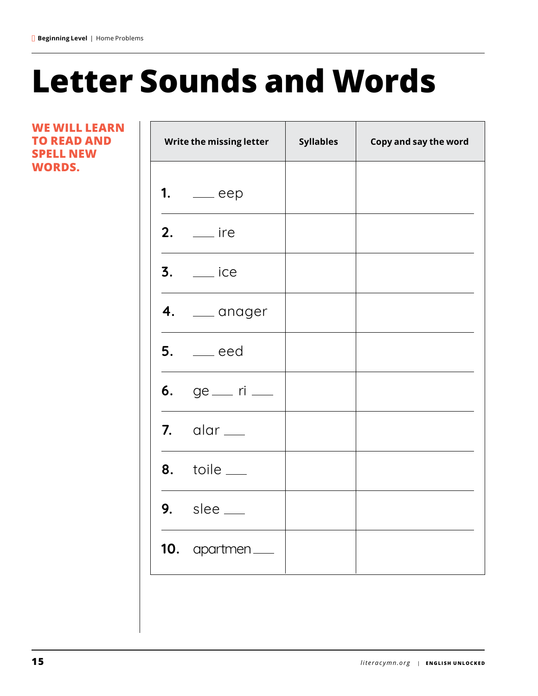### **Letter Sounds and Words**

Τ

т

**WE WILL LEARN TO READ AND SPELL NEW WORDS.**

 $\Box$ 

| Write the missing letter | <b>Syllables</b> | Copy and say the word |
|--------------------------|------------------|-----------------------|
| 1. $eep$                 |                  |                       |
| $2.$ __ ire              |                  |                       |
| $3.$ $\equiv$ ice        |                  |                       |
| $4.$ $\qquad$ anager     |                  |                       |
| $5.$ $\qquad$ eed        |                  |                       |
| 6. ge _ ri _             |                  |                       |
| $7.$ alar $\_\_$         |                  |                       |
| $8.$ toile $\_\_$        |                  |                       |
| $9.$ slee $\_\_$         |                  |                       |
| 10. apartmen___          |                  |                       |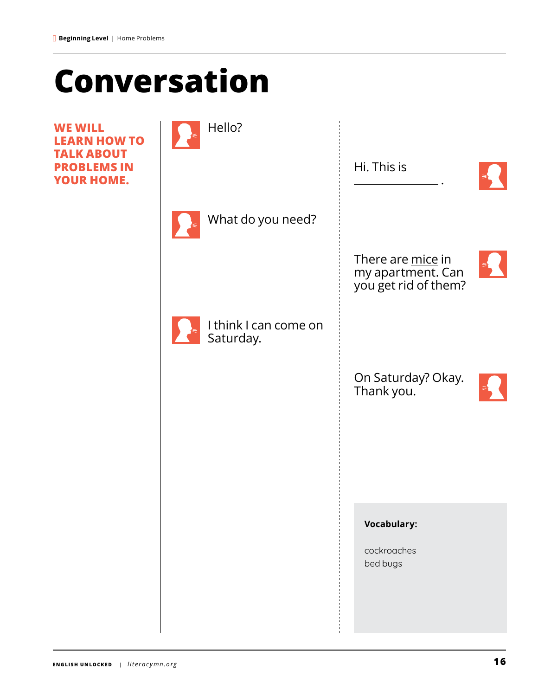### **Conversation**

**WE WILL LEARN HOW TO TALK ABOUT PROBLEMS IN YOUR HOME.**

| Hello?                             |                                                                |  |
|------------------------------------|----------------------------------------------------------------|--|
|                                    | Hi. This is                                                    |  |
| What do you need?                  |                                                                |  |
|                                    | There are mice in<br>my apartment. Can<br>you get rid of them? |  |
| I think I can come on<br>Saturday. |                                                                |  |
|                                    | On Saturday? Okay.<br>Thank you.                               |  |
|                                    |                                                                |  |
|                                    |                                                                |  |
|                                    | <b>Vocabulary:</b>                                             |  |
|                                    | cockroaches<br>bed bugs                                        |  |
|                                    |                                                                |  |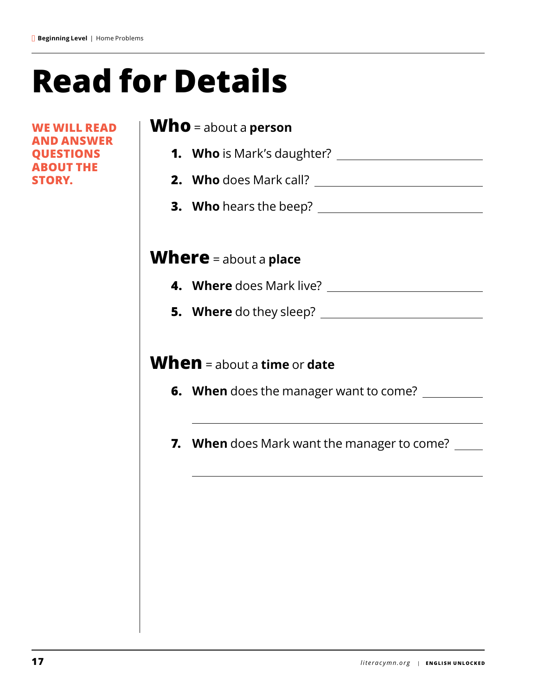## **Read for Details**

**WE WILL READ AND ANSWER QUESTIONS ABOUT THE STORY.**

### **Who** = about a **person**

- **1. Who** is Mark's daughter?
- **2. Who** does Mark call?
- **3. Who** hears the beep?

### **Where** = about a **place**

- **4. Where** does Mark live?
- **5. Where** do they sleep?

### **When** = about a **time** or **date**

- **6. When** does the manager want to come?
- **7. When** does Mark want the manager to come?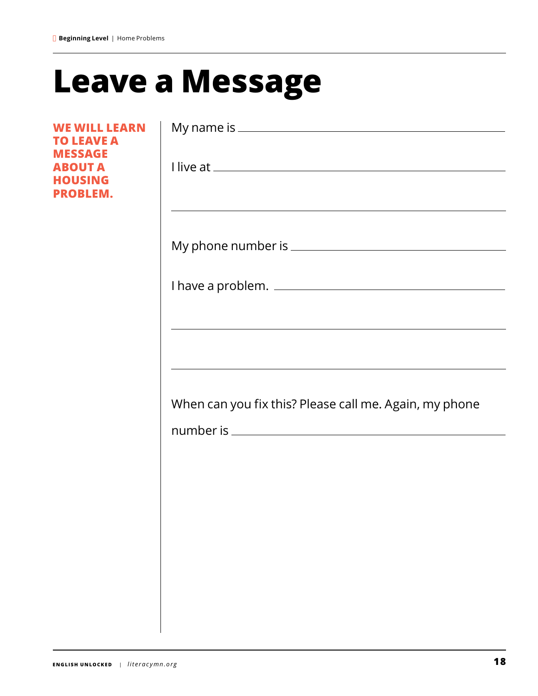### **Leave a Message**

**WE WILL LEARN TO LEAVE A MESSAGE ABOUT A HOUSING PROBLEM.**

| <u> 1989 - Johann Stoff, amerikansk politiker (d. 1989)</u> |  |
|-------------------------------------------------------------|--|
|                                                             |  |
|                                                             |  |
|                                                             |  |
| When can you fix this? Please call me. Again, my phone      |  |
|                                                             |  |
|                                                             |  |
|                                                             |  |
|                                                             |  |
|                                                             |  |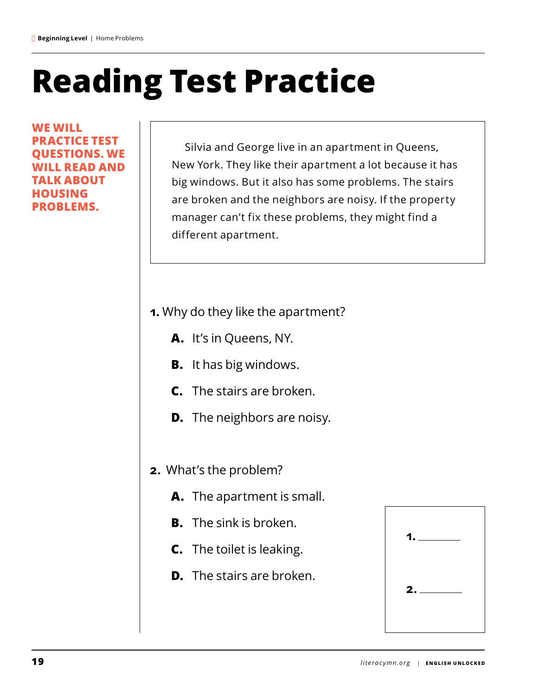## **Reading Test Practice**

**WE WILL PRACTICE TEST JESTIONS. WE WILL READ AND TALK ABOUT HOUSING PROBLEMS.**

Silvia and George live in an apartment in Queens, New York. They like their apartment a lot because it has big windows. But it also has some problems. The stairs are broken and the neighbors are noisy. If the property manager can't fix these problems, they might find a different apartment.

- **1.** Why do they like the apartment?
	- **A.** It's in Queens, NY.
	- **B.** It has big windows.
	- **C.** The stairs are broken.
	- **D.** The neighbors are noisy.
- **2.** What's the problem?
	- **A.** The apartment is small.
	- **B.** The sink is broken.
	- **C.** The toilet is leaking.
	- **D.** The stairs are broken.

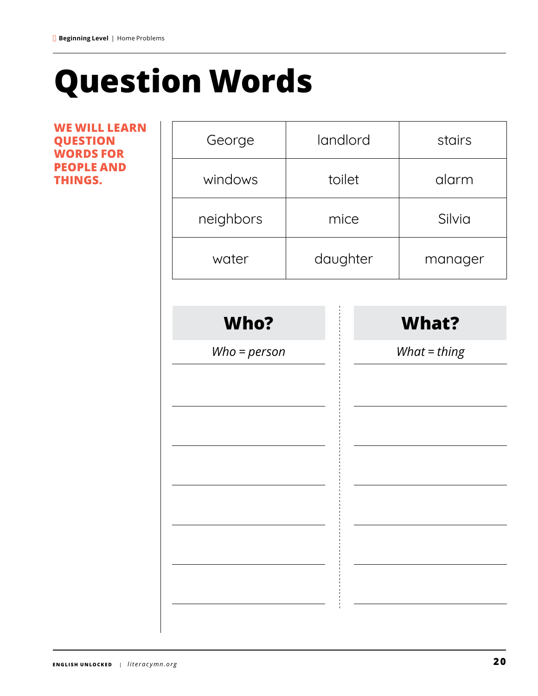### **Question Words**

**WE WILL LEARN QUESTION WORDS FOR PEOPLE AND THINGS.**

| George         | landlord |          | stairs       |
|----------------|----------|----------|--------------|
| windows        |          | toilet   | alarm        |
| neighbors      |          | mice     | Silvia       |
| water          |          | daughter | manager      |
|                |          |          |              |
| Who?           |          |          | <b>What?</b> |
| $Who = person$ |          |          | What = thing |
|                |          |          |              |
|                |          |          |              |
|                |          |          |              |
|                |          |          |              |
|                |          |          |              |
|                |          |          |              |
|                |          |          |              |
|                |          |          |              |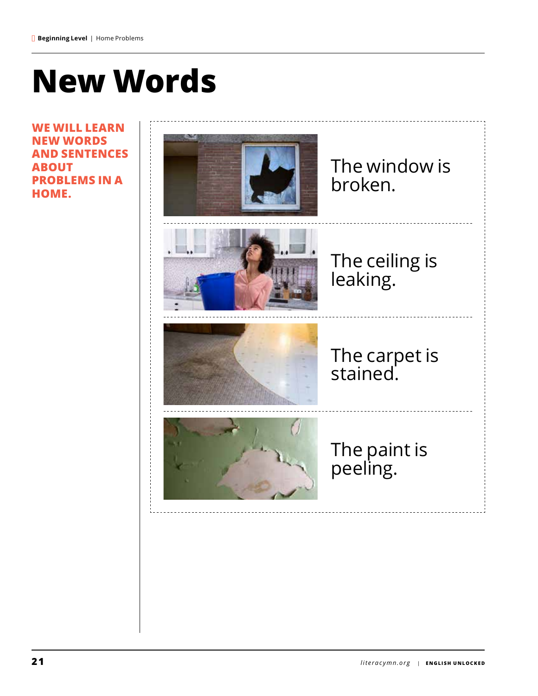### **New Words**

**WE WILL LEARN NEW WORDS AND SENTENCES ABOUT PROBLEMS IN A HOME.**

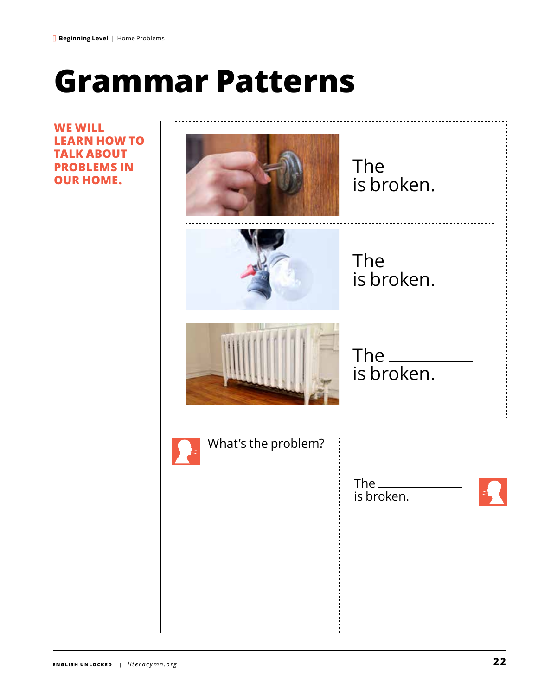### **Grammar Patterns**

, . . . . . . . . . . . . . . .

**WE WILL LEARN HOW TO TALK ABOUT PROBLEMS IN OUR HOME.**

|                     | The ____________<br>is broken. |
|---------------------|--------------------------------|
|                     |                                |
| What's the problem? | The $\_\_$<br>is broken.       |
|                     |                                |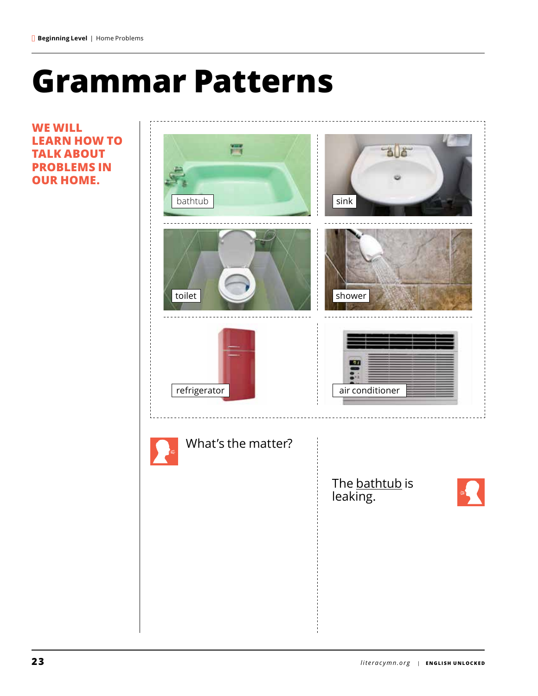### **Grammar Patterns**

**WE WILL LEARN HOW TO TALK ABOUT PROBLEMS IN OUR HOME.**

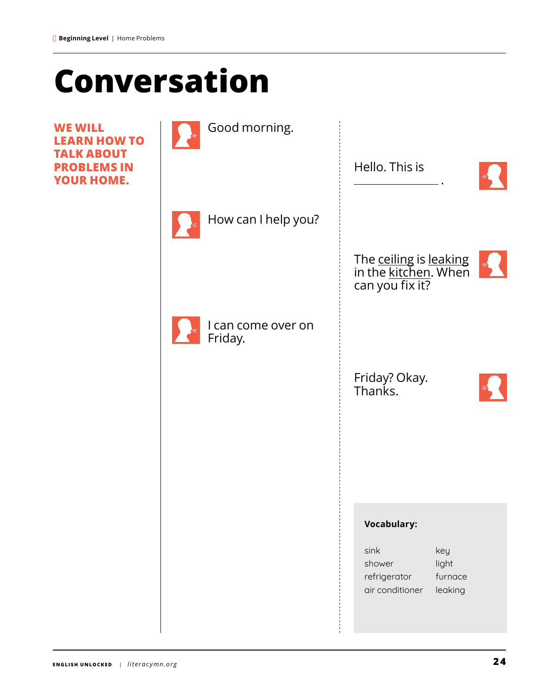### **Conversation**

**WE WILL LEARN HOW TO TALK ABOUT PROBLEMS IN YOUR HOME.**

| Good morning.                 |                                                                                         |
|-------------------------------|-----------------------------------------------------------------------------------------|
|                               | Hello. This is                                                                          |
| How can I help you?           |                                                                                         |
|                               | The ceiling is leaking<br>in the kitchen. When<br>can you fix it?                       |
| I can come over on<br>Friday. |                                                                                         |
|                               | Friday? Okay.<br>Thanks.                                                                |
|                               |                                                                                         |
|                               |                                                                                         |
|                               | <b>Vocabulary:</b>                                                                      |
|                               | sink<br>key<br>light<br>shower<br>furnace<br>refrigerator<br>air conditioner<br>leaking |
|                               |                                                                                         |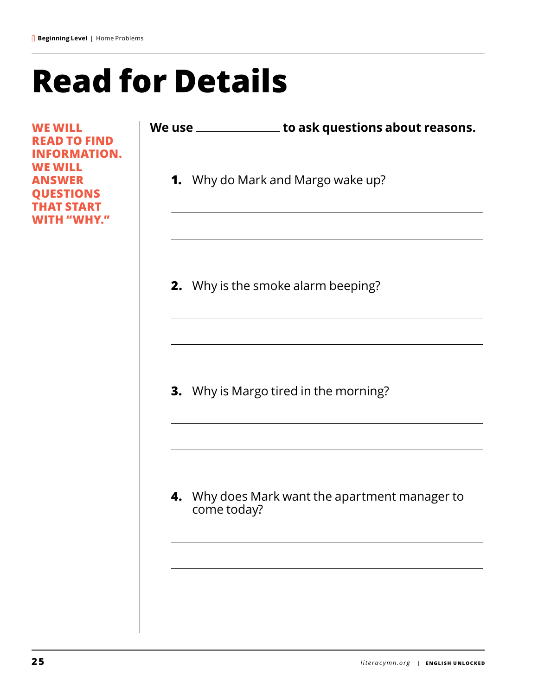### **Read for Details**

**WE WILL READ TO FIND INFORMATION. WE WILL ANSWER QUESTIONS THAT START WITH "WHY."**

| We use | to ask questions about reasons. |
|--------|---------------------------------|
|        |                                 |

**1.** Why do Mark and Margo wake up?

**2.** Why is the smoke alarm beeping?

**3.** Why is Margo tired in the morning?

**4.** Why does Mark want the apartment manager to come today?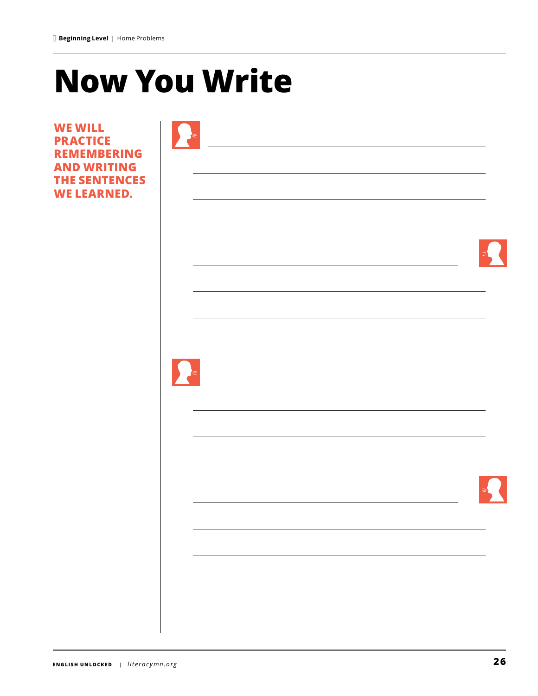### **Now You Write**

**WE WILL PRACTICE REMEMBERING AND WRITING THE SENTENC WE LEARNED.**

|                       |  | ₹ |
|-----------------------|--|---|
|                       |  |   |
|                       |  |   |
| $\blacktriangleright$ |  |   |
|                       |  |   |
|                       |  |   |
|                       |  |   |
|                       |  |   |
|                       |  |   |
|                       |  |   |

 $\overline{\phantom{a}}$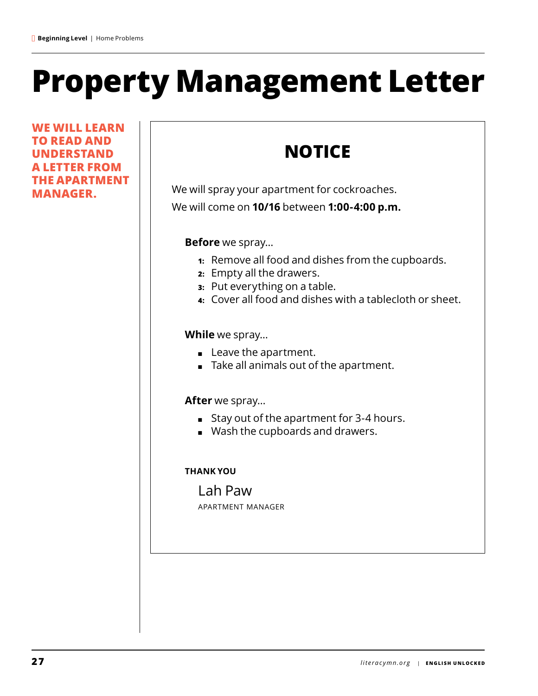### **Property Management Letter**

**WE WILL LEARN TO READ AND UNDERSTAND A LETTER FROM THE APARTMENT MANAGER.**

### **NOTICE**

We will spray your apartment for cockroaches. We will come on **10/16** between **1:00-4:00 p.m.**

**Before** we spray…

- **1:** Remove all food and dishes from the cupboards.
- **2:** Empty all the drawers.
- **3:** Put everything on a table.
- **4:** Cover all food and dishes with a tablecloth or sheet.

**While** we spray…

- Leave the apartment.
- Take all animals out of the apartment.

**After** we spray…

- Stay out of the apartment for 3-4 hours.
- Wash the cupboards and drawers.

#### **THANK YOU**

Lah Paw apartment manager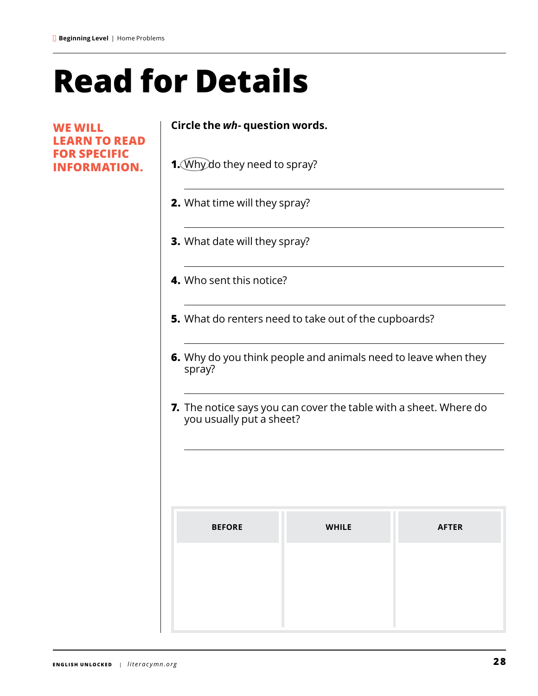### **Read for Details**

 $\overline{a}$ 

**WE WILL LEARN TO READ FOR SPECIFIC INFORMATION.**

#### **Circle the** *wh-* **question words.**

- **1.** Why do they need to spray?
- **2.** What time will they spray?
- **3.** What date will they spray?
- **4.** Who sent this notice?
- **5.** What do renters need to take out of the cupboards?
- **6.** Why do you think people and animals need to leave when they spray?
- **7.** The notice says you can cover the table with a sheet. Where do you usually put a sheet?

| <b>BEFORE</b> | <b>WHILE</b> | <b>AFTER</b> |
|---------------|--------------|--------------|
|               |              |              |
|               |              |              |
|               |              |              |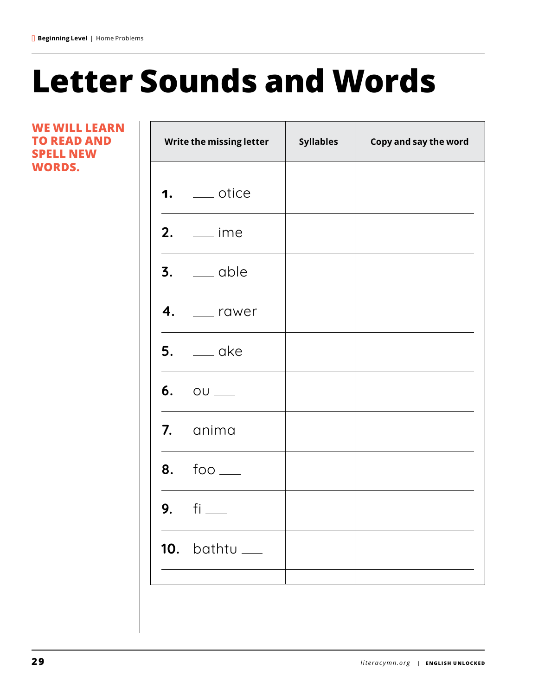### **Letter Sounds and Words**

**WE WILL LEARN TO READ AND SPELL NEW WORDS.**

Г

| Write the missing letter  | <b>Syllables</b> | Copy and say the word |
|---------------------------|------------------|-----------------------|
| $1.$ ___ otice            |                  |                       |
| $2.$ __ ime               |                  |                       |
| $3.$ $\qquad$ able        |                  |                       |
| $4.$ ___ rawer            |                  |                       |
| $5.$ $\_\_\_\$ ake        |                  |                       |
| $6. 00$ $-$               |                  |                       |
| 7. $\alpha$ nima $\alpha$ |                  |                       |
| $8. 60 -$                 |                  |                       |
| 9. $fi$ $-$               |                  |                       |
| $10.$ bathtu $\_\_$       |                  |                       |
|                           |                  |                       |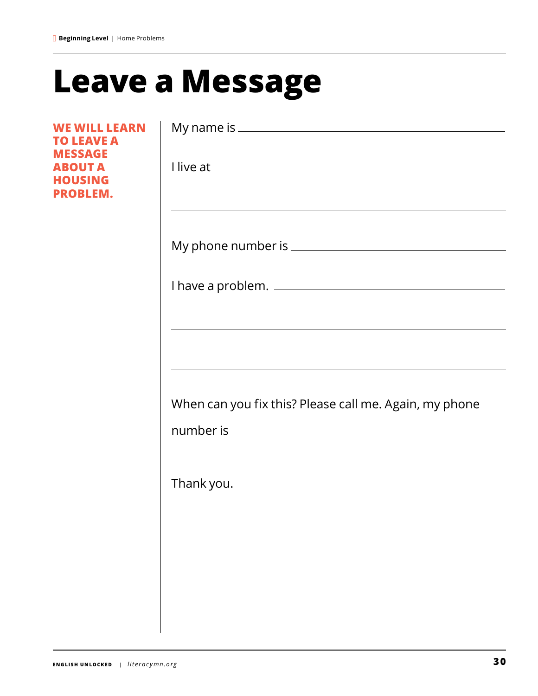### **Leave a Message**

**WE WILL LEARN TO LEAVE A MESSAGE ABOUT A HOUSING PROBLEM.**

|            | and the control of the control of the control of the control of the control of the control of the control of the |
|------------|------------------------------------------------------------------------------------------------------------------|
|            |                                                                                                                  |
|            | and the control of the control of the control of the control of the control of the control of the control of the |
|            |                                                                                                                  |
|            | When can you fix this? Please call me. Again, my phone                                                           |
|            |                                                                                                                  |
| Thank you. |                                                                                                                  |
|            |                                                                                                                  |
|            |                                                                                                                  |
|            |                                                                                                                  |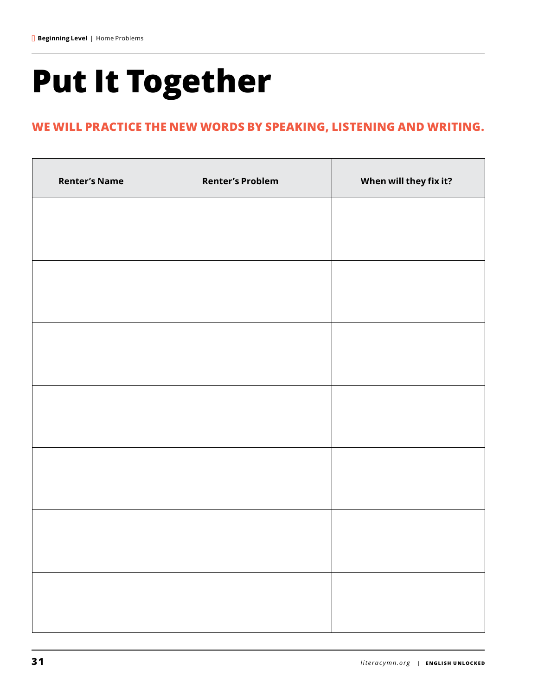## **Put It Together**

#### **WE WILL PRACTICE THE NEW WORDS BY SPEAKING, LISTENING AND WRITING.**

| <b>Renter's Name</b> | <b>Renter's Problem</b> | When will they fix it? |
|----------------------|-------------------------|------------------------|
|                      |                         |                        |
|                      |                         |                        |
|                      |                         |                        |
|                      |                         |                        |
|                      |                         |                        |
|                      |                         |                        |
|                      |                         |                        |
|                      |                         |                        |
|                      |                         |                        |
|                      |                         |                        |
|                      |                         |                        |
|                      |                         |                        |
|                      |                         |                        |
|                      |                         |                        |